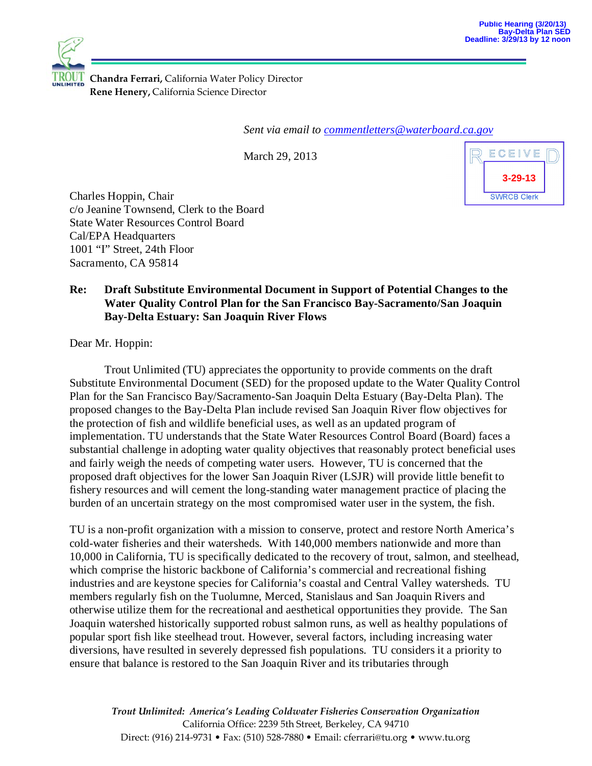

**Chandra Ferrari,** California Water Policy Director **Rene Henery,** California Science Director

*Sent via email to [commentletters@waterboard.ca.gov](mailto:commentletters@waterboard.ca.gov)*

March 29, 2013



Charles Hoppin, Chair c/o Jeanine Townsend, Clerk to the Board State Water Resources Control Board Cal/EPA Headquarters 1001 "I" Street, 24th Floor Sacramento, CA 95814

## **Re: Draft Substitute Environmental Document in Support of Potential Changes to the Water Quality Control Plan for the San Francisco Bay-Sacramento/San Joaquin Bay-Delta Estuary: San Joaquin River Flows**

Dear Mr. Hoppin:

Trout Unlimited (TU) appreciates the opportunity to provide comments on the draft Substitute Environmental Document (SED) for the proposed update to the Water Quality Control Plan for the San Francisco Bay/Sacramento-San Joaquin Delta Estuary (Bay-Delta Plan). The proposed changes to the Bay-Delta Plan include revised San Joaquin River flow objectives for the protection of fish and wildlife beneficial uses, as well as an updated program of implementation. TU understands that the State Water Resources Control Board (Board) faces a substantial challenge in adopting water quality objectives that reasonably protect beneficial uses and fairly weigh the needs of competing water users. However, TU is concerned that the proposed draft objectives for the lower San Joaquin River (LSJR) will provide little benefit to fishery resources and will cement the long-standing water management practice of placing the burden of an uncertain strategy on the most compromised water user in the system, the fish.

TU is a non-profit organization with a mission to conserve, protect and restore North America's cold-water fisheries and their watersheds. With 140,000 members nationwide and more than 10,000 in California, TU is specifically dedicated to the recovery of trout, salmon, and steelhead, which comprise the historic backbone of California's commercial and recreational fishing industries and are keystone species for California's coastal and Central Valley watersheds. TU members regularly fish on the Tuolumne, Merced, Stanislaus and San Joaquin Rivers and otherwise utilize them for the recreational and aesthetical opportunities they provide. The San Joaquin watershed historically supported robust salmon runs, as well as healthy populations of popular sport fish like steelhead trout. However, several factors, including increasing water diversions, have resulted in severely depressed fish populations. TU considers it a priority to ensure that balance is restored to the San Joaquin River and its tributaries through

*Trout Unlimited: America's Leading Coldwater Fisheries Conservation Organization* California Office: 2239 5th Street, Berkeley, CA 94710 Direct: (916) 214-9731 • Fax: (510) 528-7880 • Email: cferrari@tu.org • www.tu.org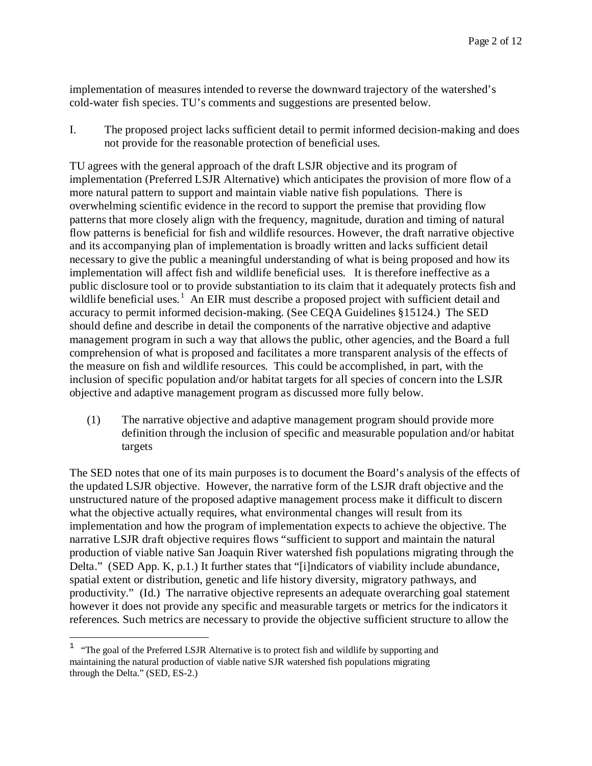implementation of measures intended to reverse the downward trajectory of the watershed's cold-water fish species. TU's comments and suggestions are presented below.

I. The proposed project lacks sufficient detail to permit informed decision-making and does not provide for the reasonable protection of beneficial uses.

TU agrees with the general approach of the draft LSJR objective and its program of implementation (Preferred LSJR Alternative) which anticipates the provision of more flow of a more natural pattern to support and maintain viable native fish populations. There is overwhelming scientific evidence in the record to support the premise that providing flow patterns that more closely align with the frequency, magnitude, duration and timing of natural flow patterns is beneficial for fish and wildlife resources. However, the draft narrative objective and its accompanying plan of implementation is broadly written and lacks sufficient detail necessary to give the public a meaningful understanding of what is being proposed and how its implementation will affect fish and wildlife beneficial uses. It is therefore ineffective as a public disclosure tool or to provide substantiation to its claim that it adequately protects fish and wildlife beneficial uses.<sup>[1](#page-1-0)</sup> An EIR must describe a proposed project with sufficient detail and accuracy to permit informed decision-making. (See CEQA Guidelines §15124.) The SED should define and describe in detail the components of the narrative objective and adaptive management program in such a way that allows the public, other agencies, and the Board a full comprehension of what is proposed and facilitates a more transparent analysis of the effects of the measure on fish and wildlife resources. This could be accomplished, in part, with the inclusion of specific population and/or habitat targets for all species of concern into the LSJR objective and adaptive management program as discussed more fully below.

(1) The narrative objective and adaptive management program should provide more definition through the inclusion of specific and measurable population and/or habitat targets

The SED notes that one of its main purposes is to document the Board's analysis of the effects of the updated LSJR objective. However, the narrative form of the LSJR draft objective and the unstructured nature of the proposed adaptive management process make it difficult to discern what the objective actually requires, what environmental changes will result from its implementation and how the program of implementation expects to achieve the objective. The narrative LSJR draft objective requires flows "sufficient to support and maintain the natural production of viable native San Joaquin River watershed fish populations migrating through the Delta." (SED App. K, p.1.) It further states that "[i]ndicators of viability include abundance, spatial extent or distribution, genetic and life history diversity, migratory pathways, and productivity." (Id.) The narrative objective represents an adequate overarching goal statement however it does not provide any specific and measurable targets or metrics for the indicators it references. Such metrics are necessary to provide the objective sufficient structure to allow the

<span id="page-1-0"></span><sup>&</sup>lt;sup>1</sup> "The goal of the Preferred LSJR Alternative is to protect fish and wildlife by supporting and maintaining the natural production of viable native SJR watershed fish populations migrating through the Delta." (SED, ES-2.)  $\overline{a}$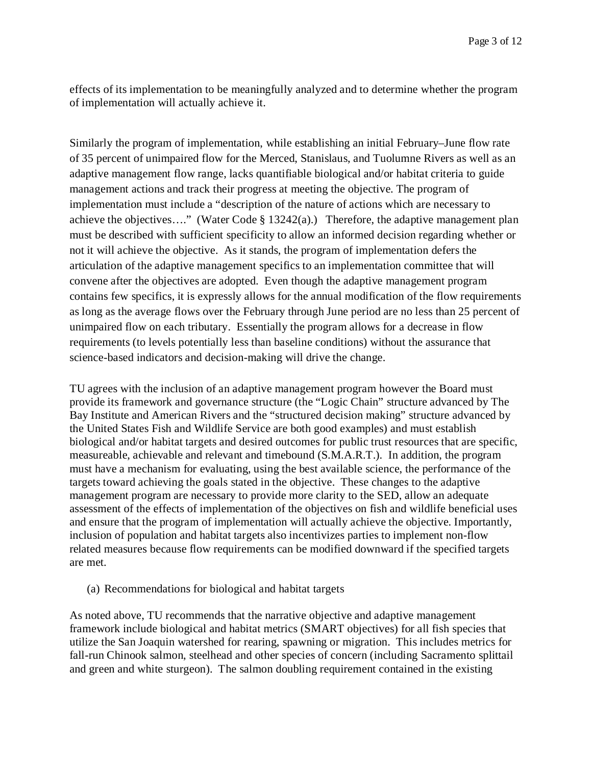effects of its implementation to be meaningfully analyzed and to determine whether the program of implementation will actually achieve it.

Similarly the program of implementation, while establishing an initial February–June flow rate of 35 percent of unimpaired flow for the Merced, Stanislaus, and Tuolumne Rivers as well as an adaptive management flow range, lacks quantifiable biological and/or habitat criteria to guide management actions and track their progress at meeting the objective. The program of implementation must include a "description of the nature of actions which are necessary to achieve the objectives...." (Water Code § 13242(a).) Therefore, the adaptive management plan must be described with sufficient specificity to allow an informed decision regarding whether or not it will achieve the objective. As it stands, the program of implementation defers the articulation of the adaptive management specifics to an implementation committee that will convene after the objectives are adopted. Even though the adaptive management program contains few specifics, it is expressly allows for the annual modification of the flow requirements as long as the average flows over the February through June period are no less than 25 percent of unimpaired flow on each tributary. Essentially the program allows for a decrease in flow requirements (to levels potentially less than baseline conditions) without the assurance that science-based indicators and decision-making will drive the change.

TU agrees with the inclusion of an adaptive management program however the Board must provide its framework and governance structure (the "Logic Chain" structure advanced by The Bay Institute and American Rivers and the "structured decision making" structure advanced by the United States Fish and Wildlife Service are both good examples) and must establish biological and/or habitat targets and desired outcomes for public trust resources that are specific, measureable, achievable and relevant and timebound (S.M.A.R.T.). In addition, the program must have a mechanism for evaluating, using the best available science, the performance of the targets toward achieving the goals stated in the objective. These changes to the adaptive management program are necessary to provide more clarity to the SED, allow an adequate assessment of the effects of implementation of the objectives on fish and wildlife beneficial uses and ensure that the program of implementation will actually achieve the objective. Importantly, inclusion of population and habitat targets also incentivizes parties to implement non-flow related measures because flow requirements can be modified downward if the specified targets are met.

(a) Recommendations for biological and habitat targets

As noted above, TU recommends that the narrative objective and adaptive management framework include biological and habitat metrics (SMART objectives) for all fish species that utilize the San Joaquin watershed for rearing, spawning or migration. This includes metrics for fall-run Chinook salmon, steelhead and other species of concern (including Sacramento splittail and green and white sturgeon). The salmon doubling requirement contained in the existing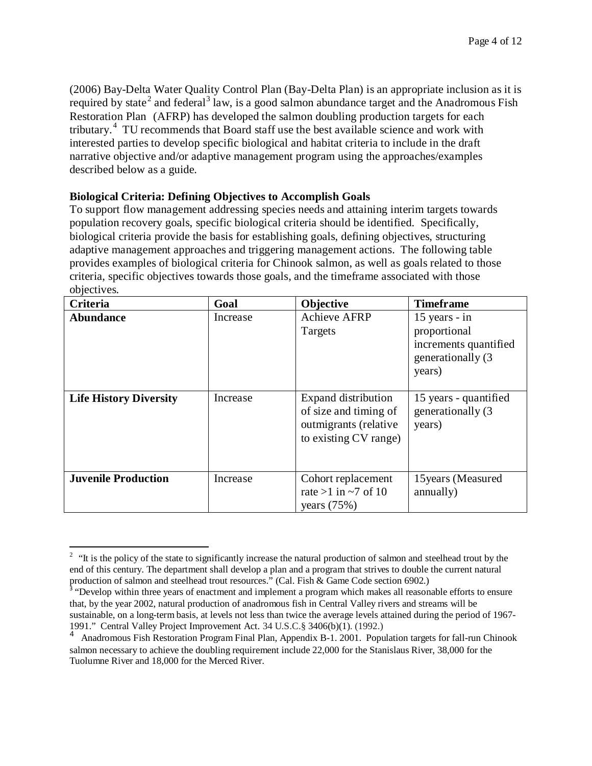(2006) Bay-Delta Water Quality Control Plan (Bay-Delta Plan) is an appropriate inclusion as it is required by state<sup>[2](#page-3-0)</sup> and federal<sup>[3](#page-3-1)</sup> law, is a good salmon abundance target and the Anadromous Fish Restoration Plan (AFRP) has developed the salmon doubling production targets for each tributary.<sup>[4](#page-3-2)</sup> TU recommends that Board staff use the best available science and work with interested parties to develop specific biological and habitat criteria to include in the draft narrative objective and/or adaptive management program using the approaches/examples described below as a guide.

## **Biological Criteria: Defining Objectives to Accomplish Goals**

To support flow management addressing species needs and attaining interim targets towards population recovery goals, specific biological criteria should be identified. Specifically, biological criteria provide the basis for establishing goals, defining objectives, structuring adaptive management approaches and triggering management actions. The following table provides examples of biological criteria for Chinook salmon, as well as goals related to those criteria, specific objectives towards those goals, and the timeframe associated with those objectives.

| Criteria                      | Goal     | Objective                                                                                      | <b>Timeframe</b>                                                                       |
|-------------------------------|----------|------------------------------------------------------------------------------------------------|----------------------------------------------------------------------------------------|
| Abundance                     | Increase | <b>Achieve AFRP</b><br>Targets                                                                 | 15 years - in<br>proportional<br>increments quantified<br>generationally (3)<br>years) |
| <b>Life History Diversity</b> | Increase | Expand distribution<br>of size and timing of<br>outmigrants (relative<br>to existing CV range) | 15 years - quantified<br>generationally (3)<br>years)                                  |
| <b>Juvenile Production</b>    | Increase | Cohort replacement<br>rate >1 in $\sim$ 7 of 10<br>years $(75%)$                               | 15 years (Measured<br>annually)                                                        |

<span id="page-3-0"></span> $2$  "It is the policy of the state to significantly increase the natural production of salmon and steelhead trout by the end of this century. The department shall develop a plan and a program that strives to double the current natural production of salmon and steelhead trout resources." (Cal. Fish & Game Code section 6902.)  $\overline{a}$ 

<span id="page-3-1"></span><sup>&</sup>lt;sup>3</sup> "Develop within three years of enactment and implement a program which makes all reasonable efforts to ensure that, by the year 2002, natural production of anadromous fish in Central Valley rivers and streams will be sustainable, on a long-term basis, at levels not less than twice the average levels attained during the period of 1967- 1991." Central Valley Project Improvement Act. 34 U.S.C.§ 3406(b)(1). (1992.)

<span id="page-3-2"></span><sup>4</sup> Anadromous Fish Restoration Program Final Plan, Appendix B-1. 2001. Population targets for fall-run Chinook salmon necessary to achieve the doubling requirement include 22,000 for the Stanislaus River, 38,000 for the Tuolumne River and 18,000 for the Merced River.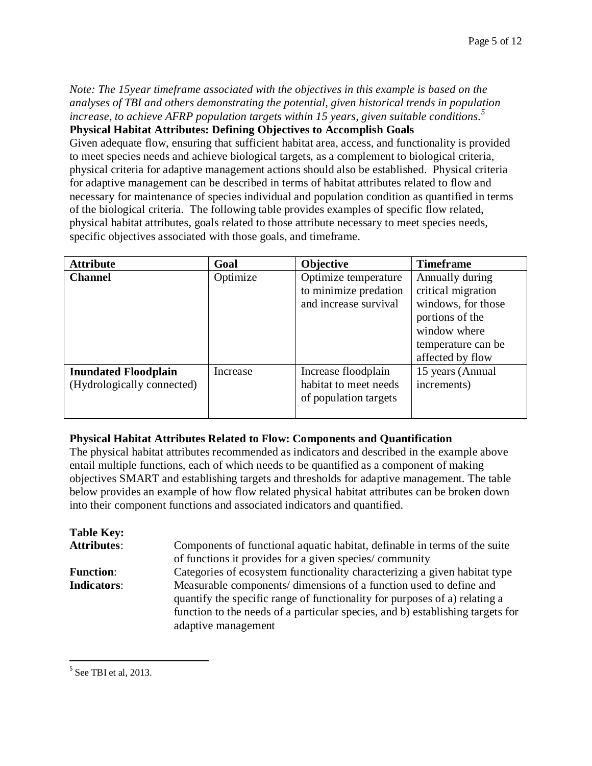*Note: The 15year timeframe associated with the objectives in this example is based on the analyses of TBI and others demonstrating the potential, given historical trends in population increase, to achieve AFRP population targets within 15 years, given suitable conditions.[5](#page-4-0)* **Physical Habitat Attributes: Defining Objectives to Accomplish Goals** 

Given adequate flow, ensuring that sufficient habitat area, access, and functionality is provided to meet species needs and achieve biological targets, as a complement to biological criteria, physical criteria for adaptive management actions should also be established. Physical criteria for adaptive management can be described in terms of habitat attributes related to flow and necessary for maintenance of species individual and population condition as quantified in terms of the biological criteria. The following table provides examples of specific flow related, physical habitat attributes, goals related to those attribute necessary to meet species needs, specific objectives associated with those goals, and timeframe.

| <b>Attribute</b>            | Goal     | Objective             | <b>Timeframe</b>   |
|-----------------------------|----------|-----------------------|--------------------|
| <b>Channel</b>              | Optimize | Optimize temperature  | Annually during    |
|                             |          | to minimize predation | critical migration |
|                             |          | and increase survival | windows, for those |
|                             |          |                       | portions of the    |
|                             |          |                       | window where       |
|                             |          |                       | temperature can be |
|                             |          |                       | affected by flow   |
| <b>Inundated Floodplain</b> | Increase | Increase floodplain   | 15 years (Annual   |
| (Hydrologically connected)  |          | habitat to meet needs | increments)        |
|                             |          | of population targets |                    |
|                             |          |                       |                    |

## **Physical Habitat Attributes Related to Flow: Components and Quantification**

The physical habitat attributes recommended as indicators and described in the example above entail multiple functions, each of which needs to be quantified as a component of making objectives SMART and establishing targets and thresholds for adaptive management. The table below provides an example of how flow related physical habitat attributes can be broken down into their component functions and associated indicators and quantified.

| <b>Table Key:</b>  |                                                                                                                                                  |
|--------------------|--------------------------------------------------------------------------------------------------------------------------------------------------|
| <b>Attributes:</b> | Components of functional aquatic habitat, definable in terms of the suite                                                                        |
|                    | of functions it provides for a given species/community                                                                                           |
| <b>Function:</b>   | Categories of ecosystem functionality characterizing a given habitat type                                                                        |
| <b>Indicators:</b> | Measurable components/ dimensions of a function used to define and<br>quantify the specific range of functionality for purposes of a) relating a |
|                    | function to the needs of a particular species, and b) establishing targets for                                                                   |
|                    | adaptive management                                                                                                                              |

<span id="page-4-0"></span> $<sup>5</sup>$  See TBI et al, 2013.</sup>  $\overline{a}$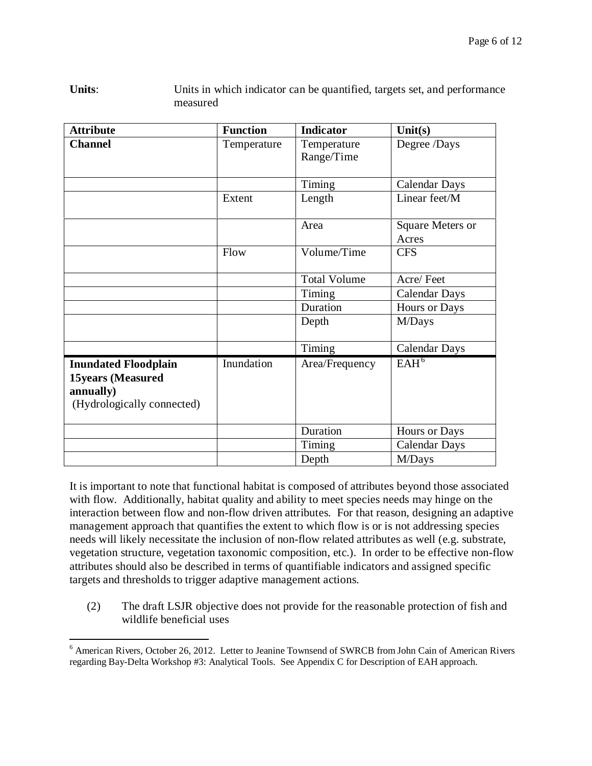| <b>Attribute</b>                                                                                   | <b>Function</b> | <b>Indicator</b>          | Unit(s)                   |
|----------------------------------------------------------------------------------------------------|-----------------|---------------------------|---------------------------|
| <b>Channel</b>                                                                                     | Temperature     | Temperature<br>Range/Time | Degree /Days              |
|                                                                                                    |                 | Timing                    | <b>Calendar Days</b>      |
|                                                                                                    | Extent          | Length                    | Linear feet/M             |
|                                                                                                    |                 | Area                      | Square Meters or<br>Acres |
|                                                                                                    | Flow            | Volume/Time               | <b>CFS</b>                |
|                                                                                                    |                 | <b>Total Volume</b>       | Acre/Feet                 |
|                                                                                                    |                 | Timing                    | <b>Calendar Days</b>      |
|                                                                                                    |                 | Duration                  | Hours or Days             |
|                                                                                                    |                 | Depth                     | M/Days                    |
|                                                                                                    |                 | Timing                    | <b>Calendar Days</b>      |
| <b>Inundated Floodplain</b><br><b>15years (Measured</b><br>annually)<br>(Hydrologically connected) | Inundation      | Area/Frequency            | EAH <sup>6</sup>          |
|                                                                                                    |                 | Duration                  | Hours or Days             |
|                                                                                                    |                 | Timing                    | <b>Calendar Days</b>      |
|                                                                                                    |                 | Depth                     | M/Days                    |

Units: Units in which indicator can be quantified, targets set, and performance measured

It is important to note that functional habitat is composed of attributes beyond those associated with flow. Additionally, habitat quality and ability to meet species needs may hinge on the interaction between flow and non-flow driven attributes. For that reason, designing an adaptive management approach that quantifies the extent to which flow is or is not addressing species needs will likely necessitate the inclusion of non-flow related attributes as well (e.g. substrate, vegetation structure, vegetation taxonomic composition, etc.). In order to be effective non-flow attributes should also be described in terms of quantifiable indicators and assigned specific targets and thresholds to trigger adaptive management actions.

(2) The draft LSJR objective does not provide for the reasonable protection of fish and wildlife beneficial uses

<span id="page-5-0"></span><sup>&</sup>lt;sup>6</sup> American Rivers, October 26, 2012. Letter to Jeanine Townsend of SWRCB from John Cain of American Rivers regarding Bay-Delta Workshop #3: Analytical Tools. See Appendix C for Description of EAH approach.  $\overline{a}$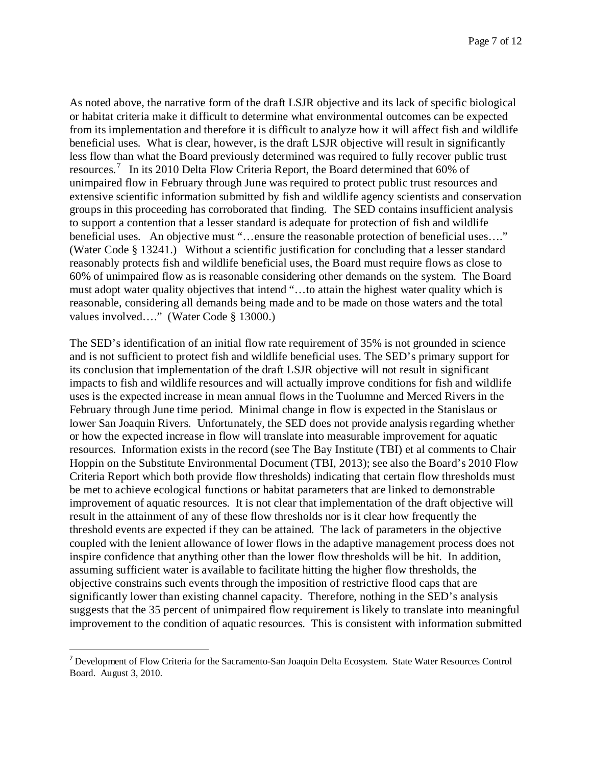As noted above, the narrative form of the draft LSJR objective and its lack of specific biological or habitat criteria make it difficult to determine what environmental outcomes can be expected from its implementation and therefore it is difficult to analyze how it will affect fish and wildlife beneficial uses. What is clear, however, is the draft LSJR objective will result in significantly less flow than what the Board previously determined was required to fully recover public trust resources.<sup>[7](#page-6-0)</sup> In its 2010 Delta Flow Criteria Report, the Board determined that 60% of unimpaired flow in February through June was required to protect public trust resources and extensive scientific information submitted by fish and wildlife agency scientists and conservation groups in this proceeding has corroborated that finding. The SED contains insufficient analysis to support a contention that a lesser standard is adequate for protection of fish and wildlife beneficial uses. An objective must "...ensure the reasonable protection of beneficial uses...." (Water Code § 13241.) Without a scientific justification for concluding that a lesser standard reasonably protects fish and wildlife beneficial uses, the Board must require flows as close to 60% of unimpaired flow as is reasonable considering other demands on the system. The Board must adopt water quality objectives that intend "…to attain the highest water quality which is reasonable, considering all demands being made and to be made on those waters and the total values involved...." (Water Code § 13000.)

The SED's identification of an initial flow rate requirement of 35% is not grounded in science and is not sufficient to protect fish and wildlife beneficial uses. The SED's primary support for its conclusion that implementation of the draft LSJR objective will not result in significant impacts to fish and wildlife resources and will actually improve conditions for fish and wildlife uses is the expected increase in mean annual flows in the Tuolumne and Merced Rivers in the February through June time period. Minimal change in flow is expected in the Stanislaus or lower San Joaquin Rivers. Unfortunately, the SED does not provide analysis regarding whether or how the expected increase in flow will translate into measurable improvement for aquatic resources. Information exists in the record (see The Bay Institute (TBI) et al comments to Chair Hoppin on the Substitute Environmental Document (TBI, 2013); see also the Board's 2010 Flow Criteria Report which both provide flow thresholds) indicating that certain flow thresholds must be met to achieve ecological functions or habitat parameters that are linked to demonstrable improvement of aquatic resources. It is not clear that implementation of the draft objective will result in the attainment of any of these flow thresholds nor is it clear how frequently the threshold events are expected if they can be attained. The lack of parameters in the objective coupled with the lenient allowance of lower flows in the adaptive management process does not inspire confidence that anything other than the lower flow thresholds will be hit. In addition, assuming sufficient water is available to facilitate hitting the higher flow thresholds, the objective constrains such events through the imposition of restrictive flood caps that are significantly lower than existing channel capacity. Therefore, nothing in the SED's analysis suggests that the 35 percent of unimpaired flow requirement is likely to translate into meaningful improvement to the condition of aquatic resources. This is consistent with information submitted

<span id="page-6-0"></span><sup>&</sup>lt;sup>7</sup> Development of Flow Criteria for the Sacramento-San Joaquin Delta Ecosystem. State Water Resources Control Board. August 3, 2010.  $\overline{a}$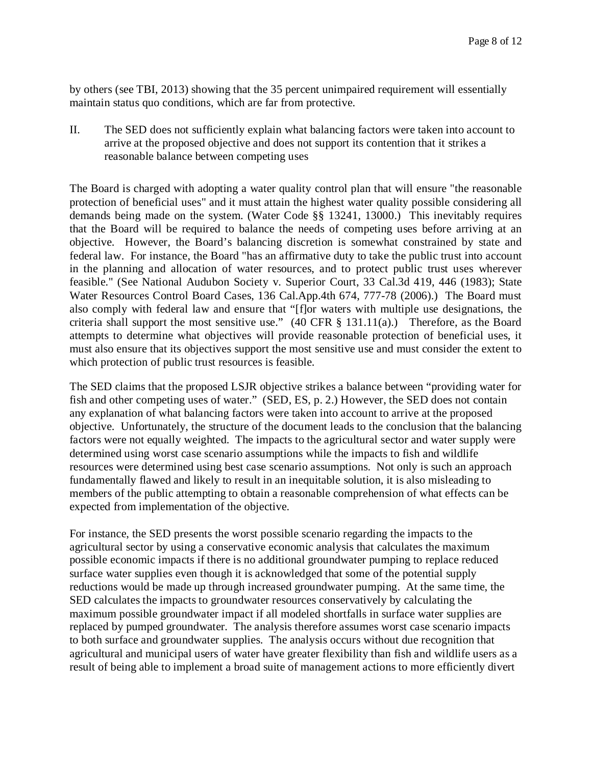by others (see TBI, 2013) showing that the 35 percent unimpaired requirement will essentially maintain status quo conditions, which are far from protective.

II. The SED does not sufficiently explain what balancing factors were taken into account to arrive at the proposed objective and does not support its contention that it strikes a reasonable balance between competing uses

The Board is charged with adopting a water quality control plan that will ensure "the reasonable protection of beneficial uses" and it must attain the highest water quality possible considering all demands being made on the system. (Water Code §§ 13241, 13000.) This inevitably requires that the Board will be required to balance the needs of competing uses before arriving at an objective. However, the Board's balancing discretion is somewhat constrained by state and federal law. For instance, the Board "has an affirmative duty to take the public trust into account in the planning and allocation of water resources, and to protect public trust uses wherever feasible." (See National Audubon Society v. Superior Court, 33 Cal.3d 419, 446 (1983); State Water Resources Control Board Cases, 136 Cal.App.4th 674, 777-78 (2006).) The Board must also comply with federal law and ensure that "[f]or waters with multiple use designations, the criteria shall support the most sensitive use."  $(40 \text{ CFR} \text{ § } 131.11(a)$ .) Therefore, as the Board attempts to determine what objectives will provide reasonable protection of beneficial uses, it must also ensure that its objectives support the most sensitive use and must consider the extent to which protection of public trust resources is feasible.

The SED claims that the proposed LSJR objective strikes a balance between "providing water for fish and other competing uses of water." (SED, ES, p. 2.) However, the SED does not contain any explanation of what balancing factors were taken into account to arrive at the proposed objective. Unfortunately, the structure of the document leads to the conclusion that the balancing factors were not equally weighted. The impacts to the agricultural sector and water supply were determined using worst case scenario assumptions while the impacts to fish and wildlife resources were determined using best case scenario assumptions. Not only is such an approach fundamentally flawed and likely to result in an inequitable solution, it is also misleading to members of the public attempting to obtain a reasonable comprehension of what effects can be expected from implementation of the objective.

For instance, the SED presents the worst possible scenario regarding the impacts to the agricultural sector by using a conservative economic analysis that calculates the maximum possible economic impacts if there is no additional groundwater pumping to replace reduced surface water supplies even though it is acknowledged that some of the potential supply reductions would be made up through increased groundwater pumping. At the same time, the SED calculates the impacts to groundwater resources conservatively by calculating the maximum possible groundwater impact if all modeled shortfalls in surface water supplies are replaced by pumped groundwater. The analysis therefore assumes worst case scenario impacts to both surface and groundwater supplies. The analysis occurs without due recognition that agricultural and municipal users of water have greater flexibility than fish and wildlife users as a result of being able to implement a broad suite of management actions to more efficiently divert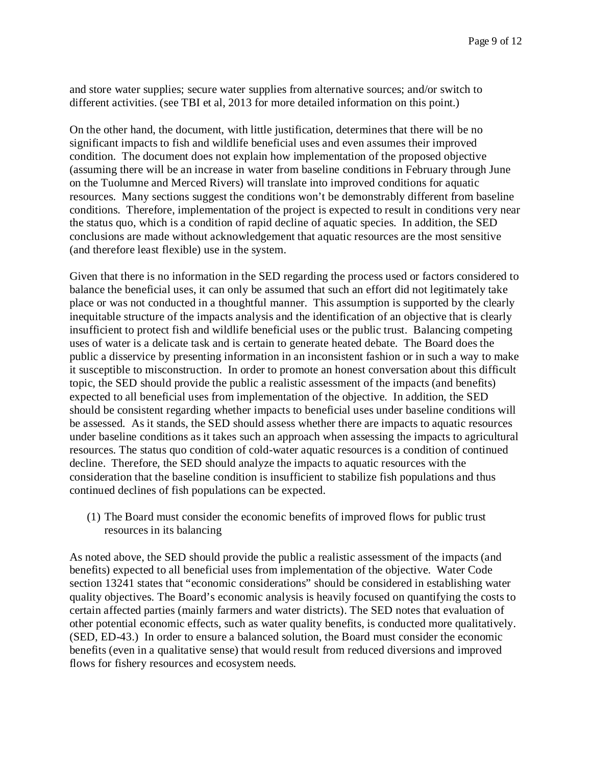and store water supplies; secure water supplies from alternative sources; and/or switch to different activities. (see TBI et al, 2013 for more detailed information on this point.)

On the other hand, the document, with little justification, determines that there will be no significant impacts to fish and wildlife beneficial uses and even assumes their improved condition. The document does not explain how implementation of the proposed objective (assuming there will be an increase in water from baseline conditions in February through June on the Tuolumne and Merced Rivers) will translate into improved conditions for aquatic resources. Many sections suggest the conditions won't be demonstrably different from baseline conditions. Therefore, implementation of the project is expected to result in conditions very near the status quo, which is a condition of rapid decline of aquatic species. In addition, the SED conclusions are made without acknowledgement that aquatic resources are the most sensitive (and therefore least flexible) use in the system.

Given that there is no information in the SED regarding the process used or factors considered to balance the beneficial uses, it can only be assumed that such an effort did not legitimately take place or was not conducted in a thoughtful manner. This assumption is supported by the clearly inequitable structure of the impacts analysis and the identification of an objective that is clearly insufficient to protect fish and wildlife beneficial uses or the public trust. Balancing competing uses of water is a delicate task and is certain to generate heated debate. The Board does the public a disservice by presenting information in an inconsistent fashion or in such a way to make it susceptible to misconstruction. In order to promote an honest conversation about this difficult topic, the SED should provide the public a realistic assessment of the impacts (and benefits) expected to all beneficial uses from implementation of the objective. In addition, the SED should be consistent regarding whether impacts to beneficial uses under baseline conditions will be assessed. As it stands, the SED should assess whether there are impacts to aquatic resources under baseline conditions as it takes such an approach when assessing the impacts to agricultural resources. The status quo condition of cold-water aquatic resources is a condition of continued decline. Therefore, the SED should analyze the impacts to aquatic resources with the consideration that the baseline condition is insufficient to stabilize fish populations and thus continued declines of fish populations can be expected.

(1) The Board must consider the economic benefits of improved flows for public trust resources in its balancing

As noted above, the SED should provide the public a realistic assessment of the impacts (and benefits) expected to all beneficial uses from implementation of the objective. Water Code section 13241 states that "economic considerations" should be considered in establishing water quality objectives. The Board's economic analysis is heavily focused on quantifying the costs to certain affected parties (mainly farmers and water districts). The SED notes that evaluation of other potential economic effects, such as water quality benefits, is conducted more qualitatively. (SED, ED-43.) In order to ensure a balanced solution, the Board must consider the economic benefits (even in a qualitative sense) that would result from reduced diversions and improved flows for fishery resources and ecosystem needs.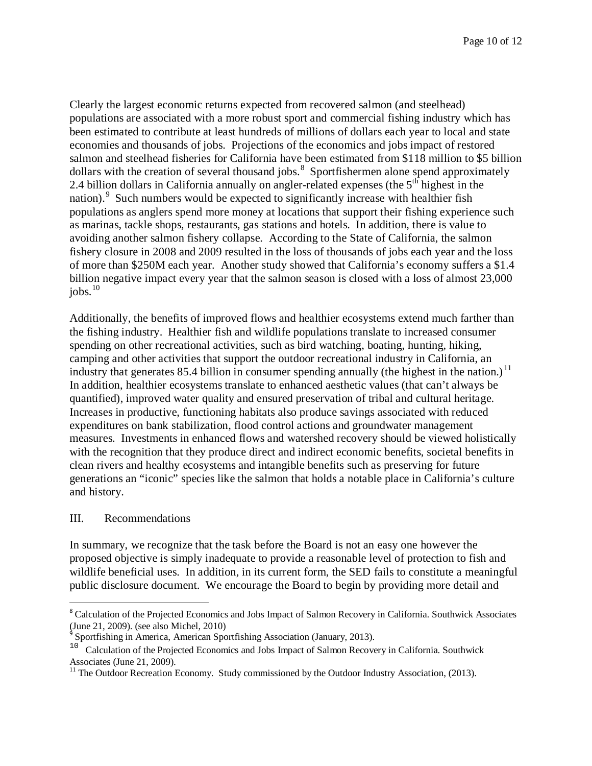Clearly the largest economic returns expected from recovered salmon (and steelhead) populations are associated with a more robust sport and commercial fishing industry which has been estimated to contribute at least hundreds of millions of dollars each year to local and state economies and thousands of jobs. Projections of the economics and jobs impact of restored salmon and steelhead fisheries for California have been estimated from \$118 million to \$5 billion dollars with the creation of several thousand jobs.<sup>[8](#page-9-0)</sup> Sportfishermen alone spend approximately 2.4 billion dollars in California annually on angler-related expenses (the  $5<sup>th</sup>$  highest in the nation). Such numbers would be expected to significantly increase with healthier fish populations as anglers spend more money at locations that support their fishing experience such as marinas, tackle shops, restaurants, gas stations and hotels. In addition, there is value to avoiding another salmon fishery collapse. According to the State of California, the salmon fishery closure in 2008 and 2009 resulted in the loss of thousands of jobs each year and the loss of more than \$250M each year. Another study showed that California's economy suffers a \$1.4 billion negative impact every year that the salmon season is closed with a loss of almost 23,000 jobs. [10](#page-9-2)

Additionally, the benefits of improved flows and healthier ecosystems extend much farther than the fishing industry. Healthier fish and wildlife populations translate to increased consumer spending on other recreational activities, such as bird watching, boating, hunting, hiking, camping and other activities that support the outdoor recreational industry in California, an industry that generates 85.4 billion in consumer spending annually (the highest in the nation.)<sup>[11](#page-9-3)</sup> In addition, healthier ecosystems translate to enhanced aesthetic values (that can't always be quantified), improved water quality and ensured preservation of tribal and cultural heritage. Increases in productive, functioning habitats also produce savings associated with reduced expenditures on bank stabilization, flood control actions and groundwater management measures. Investments in enhanced flows and watershed recovery should be viewed holistically with the recognition that they produce direct and indirect economic benefits, societal benefits in clean rivers and healthy ecosystems and intangible benefits such as preserving for future generations an "iconic" species like the salmon that holds a notable place in California's culture and history.

## III. Recommendations

In summary, we recognize that the task before the Board is not an easy one however the proposed objective is simply inadequate to provide a reasonable level of protection to fish and wildlife beneficial uses. In addition, in its current form, the SED fails to constitute a meaningful public disclosure document. We encourage the Board to begin by providing more detail and

<span id="page-9-0"></span><sup>&</sup>lt;sup>8</sup> Calculation of the Projected Economics and Jobs Impact of Salmon Recovery in California. Southwick Associates (June 21, 2009). (see also Michel, 2010)<br> $\degree$  Sportfishing in America, American Sportfishing Association (January, 2013).  $\overline{a}$ 

<span id="page-9-2"></span><span id="page-9-1"></span><sup>&</sup>lt;sup>10</sup> Calculation of the Projected Economics and Jobs Impact of Salmon Recovery in California. Southwick Associates (June 21, 2009).

<span id="page-9-3"></span> $11$  The Outdoor Recreation Economy. Study commissioned by the Outdoor Industry Association, (2013).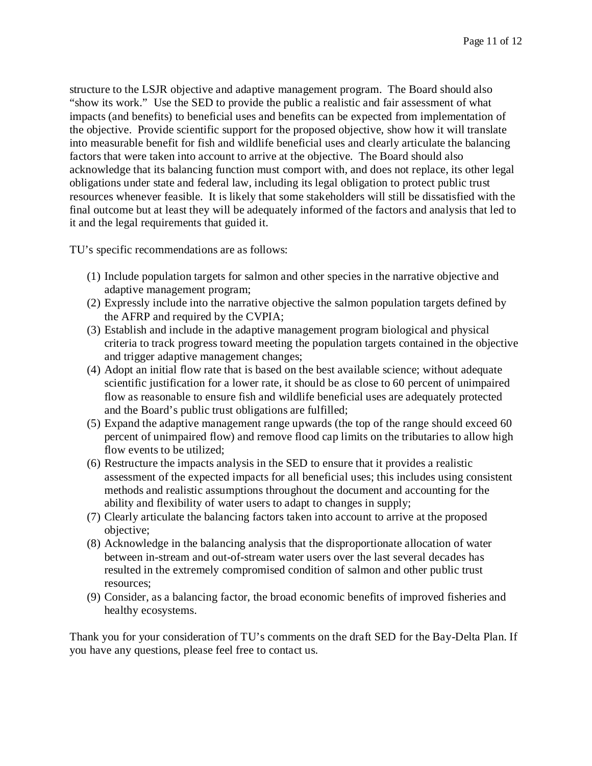structure to the LSJR objective and adaptive management program. The Board should also "show its work." Use the SED to provide the public a realistic and fair assessment of what impacts (and benefits) to beneficial uses and benefits can be expected from implementation of the objective. Provide scientific support for the proposed objective, show how it will translate into measurable benefit for fish and wildlife beneficial uses and clearly articulate the balancing factors that were taken into account to arrive at the objective. The Board should also acknowledge that its balancing function must comport with, and does not replace, its other legal obligations under state and federal law, including its legal obligation to protect public trust resources whenever feasible. It is likely that some stakeholders will still be dissatisfied with the final outcome but at least they will be adequately informed of the factors and analysis that led to it and the legal requirements that guided it.

TU's specific recommendations are as follows:

- (1) Include population targets for salmon and other species in the narrative objective and adaptive management program;
- (2) Expressly include into the narrative objective the salmon population targets defined by the AFRP and required by the CVPIA;
- (3) Establish and include in the adaptive management program biological and physical criteria to track progress toward meeting the population targets contained in the objective and trigger adaptive management changes;
- (4) Adopt an initial flow rate that is based on the best available science; without adequate scientific justification for a lower rate, it should be as close to 60 percent of unimpaired flow as reasonable to ensure fish and wildlife beneficial uses are adequately protected and the Board's public trust obligations are fulfilled;
- (5) Expand the adaptive management range upwards (the top of the range should exceed 60 percent of unimpaired flow) and remove flood cap limits on the tributaries to allow high flow events to be utilized;
- (6) Restructure the impacts analysis in the SED to ensure that it provides a realistic assessment of the expected impacts for all beneficial uses; this includes using consistent methods and realistic assumptions throughout the document and accounting for the ability and flexibility of water users to adapt to changes in supply;
- (7) Clearly articulate the balancing factors taken into account to arrive at the proposed objective;
- (8) Acknowledge in the balancing analysis that the disproportionate allocation of water between in-stream and out-of-stream water users over the last several decades has resulted in the extremely compromised condition of salmon and other public trust resources;
- (9) Consider, as a balancing factor, the broad economic benefits of improved fisheries and healthy ecosystems.

Thank you for your consideration of TU's comments on the draft SED for the Bay-Delta Plan. If you have any questions, please feel free to contact us.